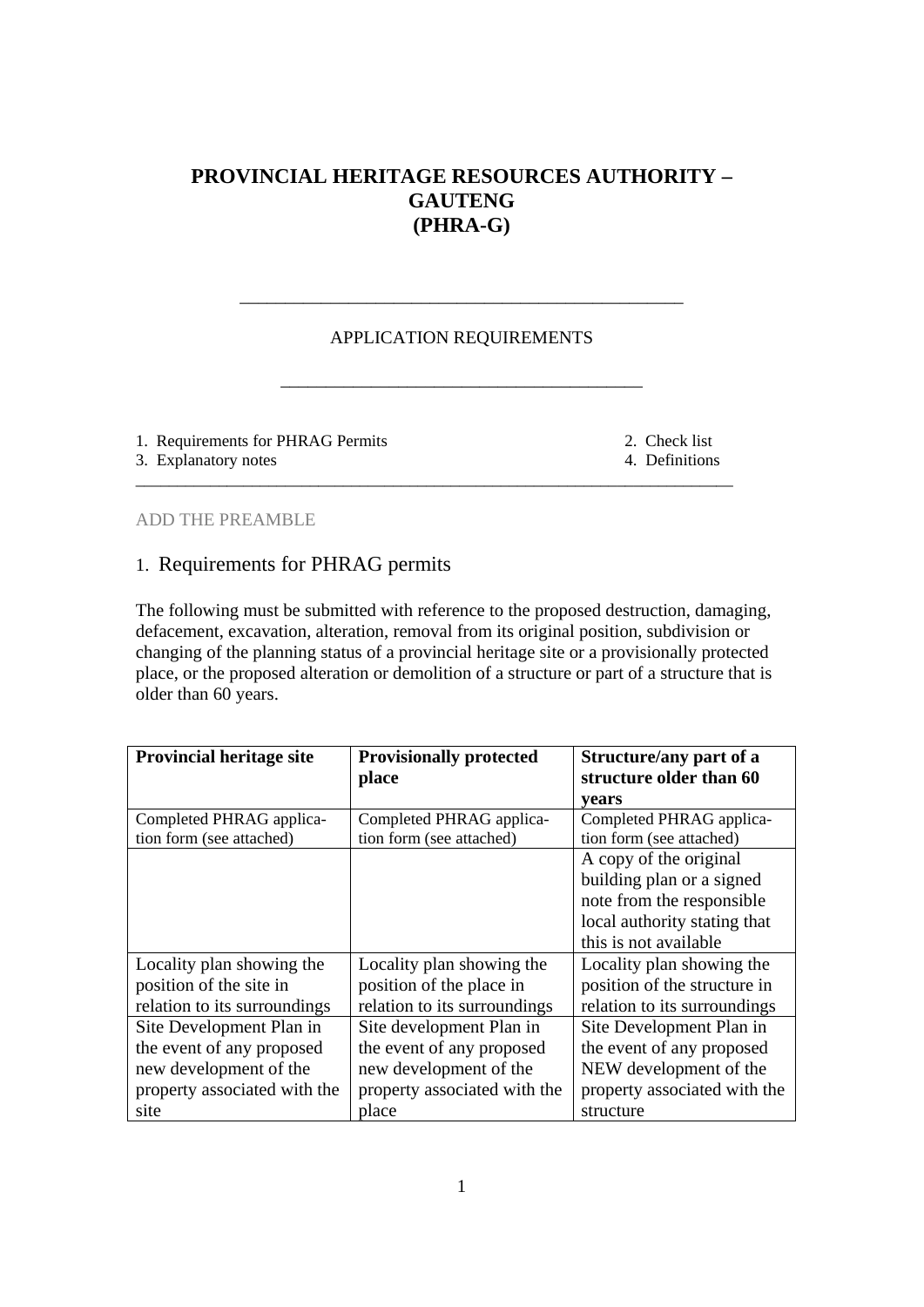# **PROVINCIAL HERITAGE RESOURCES AUTHORITY – GAUTENG (PHRA-G)**

## APPLICATION REQUIREMENTS

\_\_\_\_\_\_\_\_\_\_\_\_\_\_\_\_\_\_\_\_\_\_\_\_\_\_\_\_\_\_\_\_\_\_\_\_\_\_\_\_

\_\_\_\_\_\_\_\_\_\_\_\_\_\_\_\_\_\_\_\_\_\_\_\_\_\_\_\_\_\_\_\_\_\_\_\_\_\_\_\_\_\_\_\_\_\_\_\_\_\_\_\_\_\_\_\_\_\_\_\_\_\_\_\_\_\_\_\_\_\_\_\_

\_\_\_\_\_\_\_\_\_\_\_\_\_\_\_\_\_\_\_\_\_\_\_\_\_\_\_\_\_\_\_\_\_\_\_\_\_\_\_\_\_\_\_\_\_\_\_\_\_

1. Requirements for PHRAG Permits 2. Check list

3. Explanatory notes 4. Definitions

ADD THE PREAMBLE

## 1. Requirements for PHRAG permits

The following must be submitted with reference to the proposed destruction, damaging, defacement, excavation, alteration, removal from its original position, subdivision or changing of the planning status of a provincial heritage site or a provisionally protected place, or the proposed alteration or demolition of a structure or part of a structure that is older than 60 years.

| <b>Provincial heritage site</b> | <b>Provisionally protected</b><br>place | Structure/any part of a<br>structure older than 60 |
|---------------------------------|-----------------------------------------|----------------------------------------------------|
|                                 |                                         | years                                              |
| Completed PHRAG applica-        | Completed PHRAG applica-                | Completed PHRAG applica-                           |
| tion form (see attached)        | tion form (see attached)                | tion form (see attached)                           |
|                                 |                                         | A copy of the original                             |
|                                 |                                         | building plan or a signed                          |
|                                 |                                         | note from the responsible                          |
|                                 |                                         | local authority stating that                       |
|                                 |                                         | this is not available                              |
| Locality plan showing the       | Locality plan showing the               | Locality plan showing the                          |
| position of the site in         | position of the place in                | position of the structure in                       |
| relation to its surroundings    | relation to its surroundings            | relation to its surroundings                       |
| Site Development Plan in        | Site development Plan in                | Site Development Plan in                           |
| the event of any proposed       | the event of any proposed               | the event of any proposed                          |
| new development of the          | new development of the                  | NEW development of the                             |
| property associated with the    | property associated with the            | property associated with the                       |
| site                            | place                                   | structure                                          |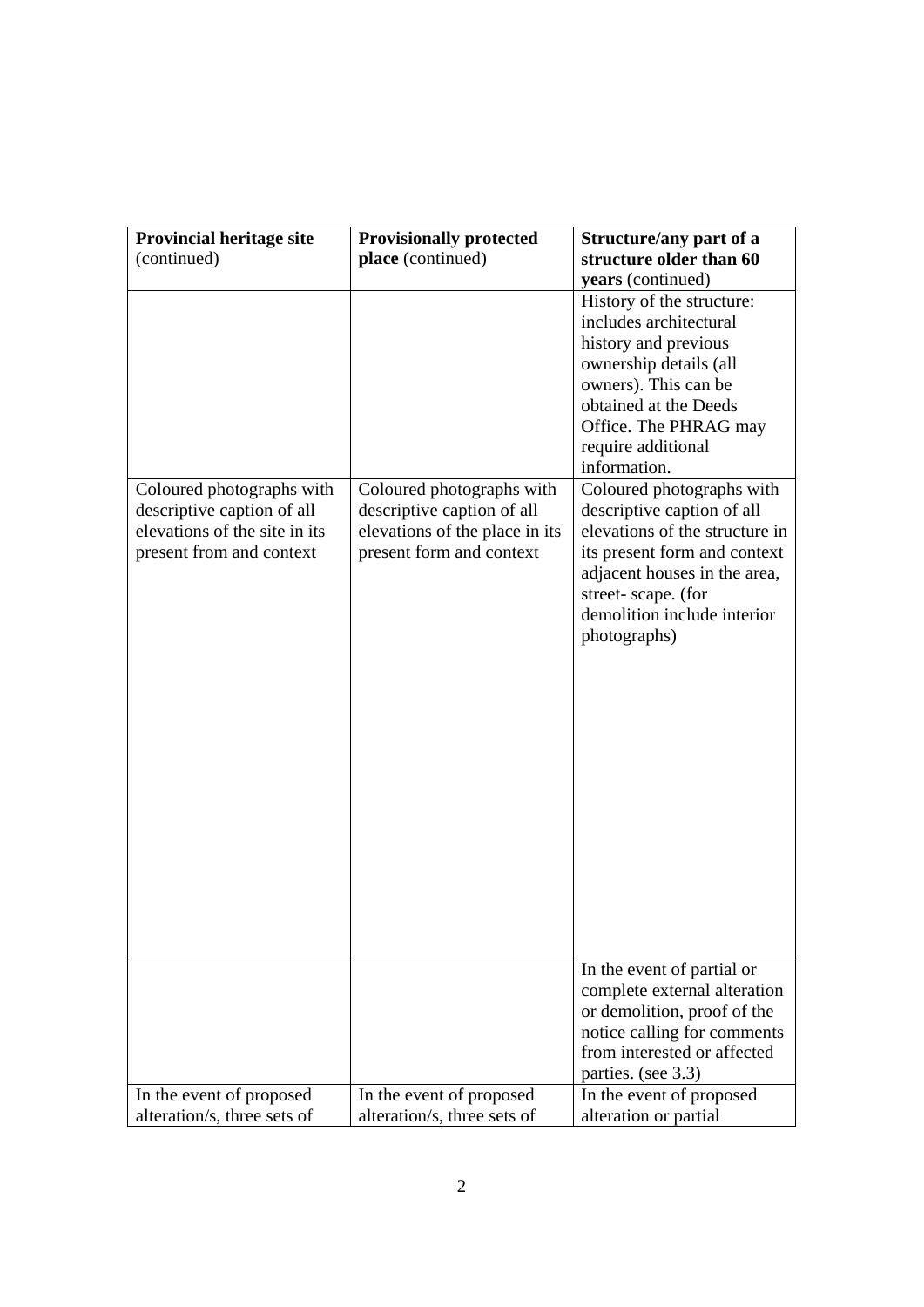| <b>Provincial heritage site</b>                             | <b>Provisionally protected</b>                             | Structure/any part of a                                      |
|-------------------------------------------------------------|------------------------------------------------------------|--------------------------------------------------------------|
| (continued)                                                 | place (continued)                                          | structure older than 60                                      |
|                                                             |                                                            | years (continued)                                            |
|                                                             |                                                            | History of the structure:                                    |
|                                                             |                                                            | includes architectural                                       |
|                                                             |                                                            | history and previous                                         |
|                                                             |                                                            | ownership details (all                                       |
|                                                             |                                                            | owners). This can be                                         |
|                                                             |                                                            | obtained at the Deeds                                        |
|                                                             |                                                            | Office. The PHRAG may                                        |
|                                                             |                                                            | require additional                                           |
|                                                             |                                                            | information.                                                 |
| Coloured photographs with                                   | Coloured photographs with                                  | Coloured photographs with                                    |
| descriptive caption of all<br>elevations of the site in its | descriptive caption of all                                 | descriptive caption of all<br>elevations of the structure in |
| present from and context                                    | elevations of the place in its<br>present form and context | its present form and context                                 |
|                                                             |                                                            | adjacent houses in the area,                                 |
|                                                             |                                                            | street-scape. (for                                           |
|                                                             |                                                            | demolition include interior                                  |
|                                                             |                                                            | photographs)                                                 |
|                                                             |                                                            |                                                              |
|                                                             |                                                            |                                                              |
|                                                             |                                                            |                                                              |
|                                                             |                                                            |                                                              |
|                                                             |                                                            |                                                              |
|                                                             |                                                            |                                                              |
|                                                             |                                                            |                                                              |
|                                                             |                                                            |                                                              |
|                                                             |                                                            |                                                              |
|                                                             |                                                            |                                                              |
|                                                             |                                                            |                                                              |
|                                                             |                                                            |                                                              |
|                                                             |                                                            |                                                              |
|                                                             |                                                            |                                                              |
|                                                             |                                                            |                                                              |
|                                                             |                                                            | In the event of partial or                                   |
|                                                             |                                                            | complete external alteration                                 |
|                                                             |                                                            | or demolition, proof of the                                  |
|                                                             |                                                            | notice calling for comments                                  |
|                                                             |                                                            | from interested or affected                                  |
|                                                             |                                                            | parties. (see 3.3)                                           |
| In the event of proposed                                    | In the event of proposed                                   | In the event of proposed                                     |
| alteration/s, three sets of                                 | alteration/s, three sets of                                | alteration or partial                                        |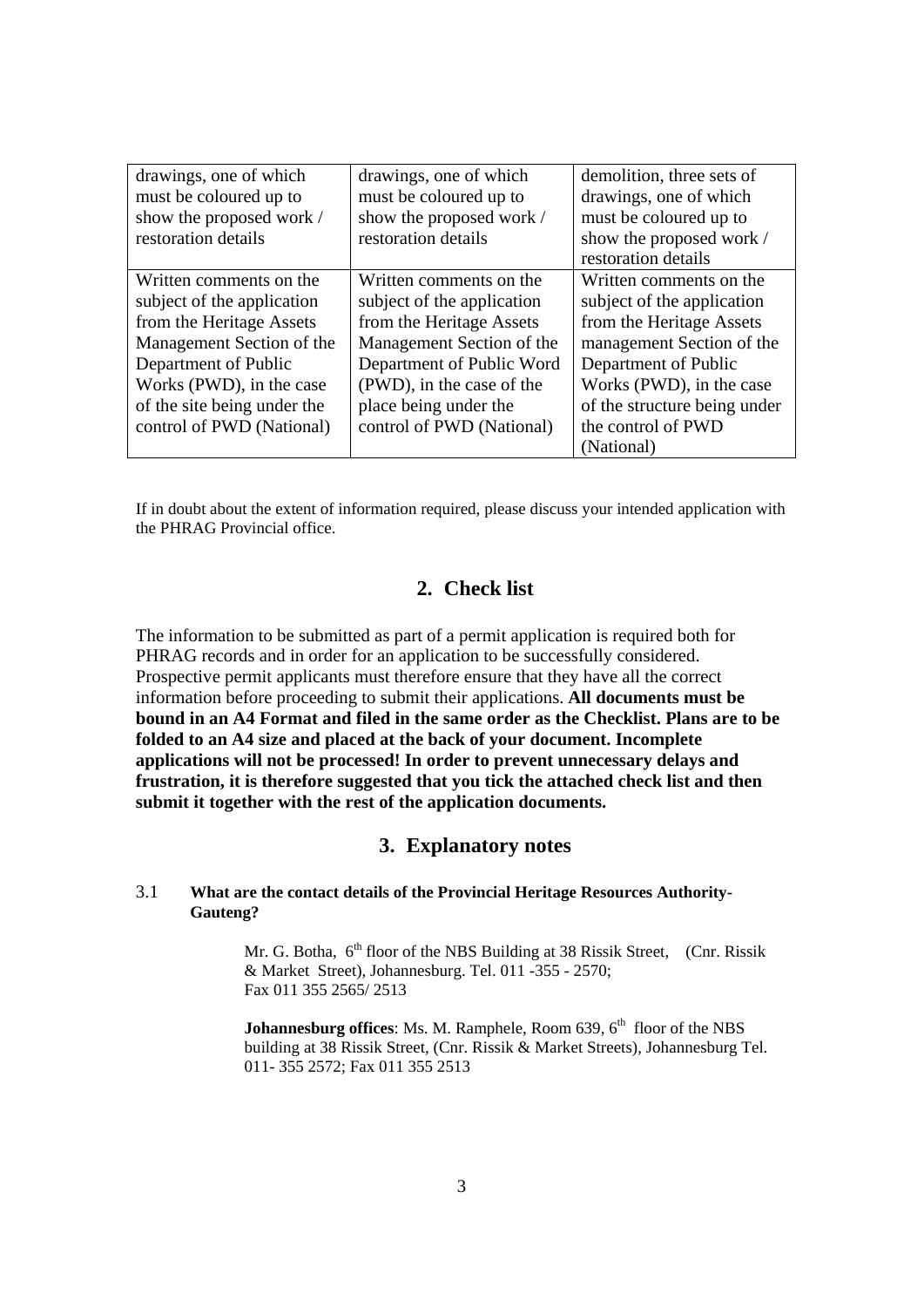| drawings, one of which<br>must be coloured up to | drawings, one of which<br>must be coloured up to | demolition, three sets of<br>drawings, one of which |
|--------------------------------------------------|--------------------------------------------------|-----------------------------------------------------|
| show the proposed work /<br>restoration details  | show the proposed work /<br>restoration details  | must be coloured up to<br>show the proposed work /  |
|                                                  |                                                  | restoration details                                 |
| Written comments on the                          | Written comments on the                          | Written comments on the                             |
| subject of the application                       | subject of the application                       | subject of the application                          |
| from the Heritage Assets                         | from the Heritage Assets                         | from the Heritage Assets                            |
| Management Section of the                        | Management Section of the                        | management Section of the                           |
| Department of Public                             | Department of Public Word                        | Department of Public                                |
| Works (PWD), in the case                         | (PWD), in the case of the                        | Works (PWD), in the case                            |
| of the site being under the                      | place being under the                            | of the structure being under                        |
| control of PWD (National)                        | control of PWD (National)                        | the control of PWD                                  |
|                                                  |                                                  | (National)                                          |

If in doubt about the extent of information required, please discuss your intended application with the PHRAG Provincial office.

## **2. Check list**

The information to be submitted as part of a permit application is required both for PHRAG records and in order for an application to be successfully considered. Prospective permit applicants must therefore ensure that they have all the correct information before proceeding to submit their applications. **All documents must be bound in an A4 Format and filed in the same order as the Checklist. Plans are to be folded to an A4 size and placed at the back of your document. Incomplete applications will not be processed! In order to prevent unnecessary delays and frustration, it is therefore suggested that you tick the attached check list and then submit it together with the rest of the application documents.**

## **3. Explanatory notes**

#### 3.1 **What are the contact details of the Provincial Heritage Resources Authority- Gauteng?**

Mr. G. Botha, 6<sup>th</sup> floor of the NBS Building at 38 Rissik Street, (Cnr. Rissik & Market Street), Johannesburg. Tel. 011 -355 - 2570; Fax 011 355 2565/ 2513

**Johannesburg offices:** Ms. M. Ramphele, Room 639, 6<sup>th</sup> floor of the NBS building at 38 Rissik Street, (Cnr. Rissik & Market Streets), Johannesburg Tel. 011- 355 2572; Fax 011 355 2513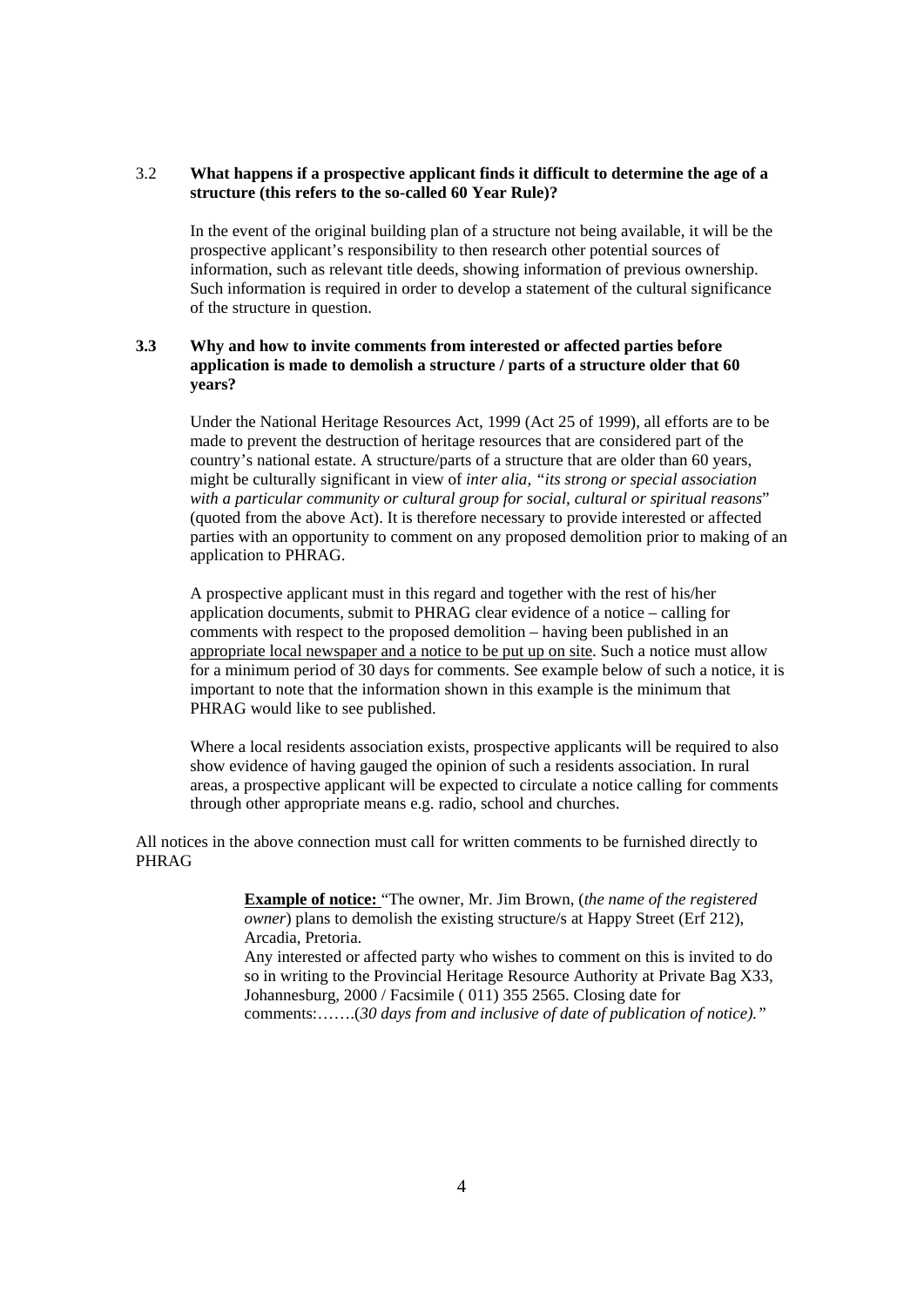#### 3.2 **What happens if a prospective applicant finds it difficult to determine the age of a structure (this refers to the so-called 60 Year Rule)?**

In the event of the original building plan of a structure not being available, it will be the prospective applicant's responsibility to then research other potential sources of information, such as relevant title deeds, showing information of previous ownership. Such information is required in order to develop a statement of the cultural significance of the structure in question.

#### **3.3 Why and how to invite comments from interested or affected parties before application is made to demolish a structure / parts of a structure older that 60 years?**

Under the National Heritage Resources Act, 1999 (Act 25 of 1999), all efforts are to be made to prevent the destruction of heritage resources that are considered part of the country's national estate. A structure/parts of a structure that are older than 60 years, might be culturally significant in view of *inter alia, "its strong or special association with a particular community or cultural group for social, cultural or spiritual reasons*" (quoted from the above Act). It is therefore necessary to provide interested or affected parties with an opportunity to comment on any proposed demolition prior to making of an application to PHRAG.

A prospective applicant must in this regard and together with the rest of his/her application documents, submit to PHRAG clear evidence of a notice – calling for comments with respect to the proposed demolition – having been published in an appropriate local newspaper and a notice to be put up on site. Such a notice must allow for a minimum period of 30 days for comments. See example below of such a notice, it is important to note that the information shown in this example is the minimum that PHRAG would like to see published.

Where a local residents association exists, prospective applicants will be required to also show evidence of having gauged the opinion of such a residents association. In rural areas, a prospective applicant will be expected to circulate a notice calling for comments through other appropriate means e.g. radio, school and churches.

All notices in the above connection must call for written comments to be furnished directly to PHRAG

> **Example of notice:** "The owner, Mr. Jim Brown, (*the name of the registered owner*) plans to demolish the existing structure/s at Happy Street (Erf 212), Arcadia, Pretoria.

Any interested or affected party who wishes to comment on this is invited to do so in writing to the Provincial Heritage Resource Authority at Private Bag X33, Johannesburg, 2000 / Facsimile ( 011) 355 2565. Closing date for comments:…….(*30 days from and inclusive of date of publication of notice)."*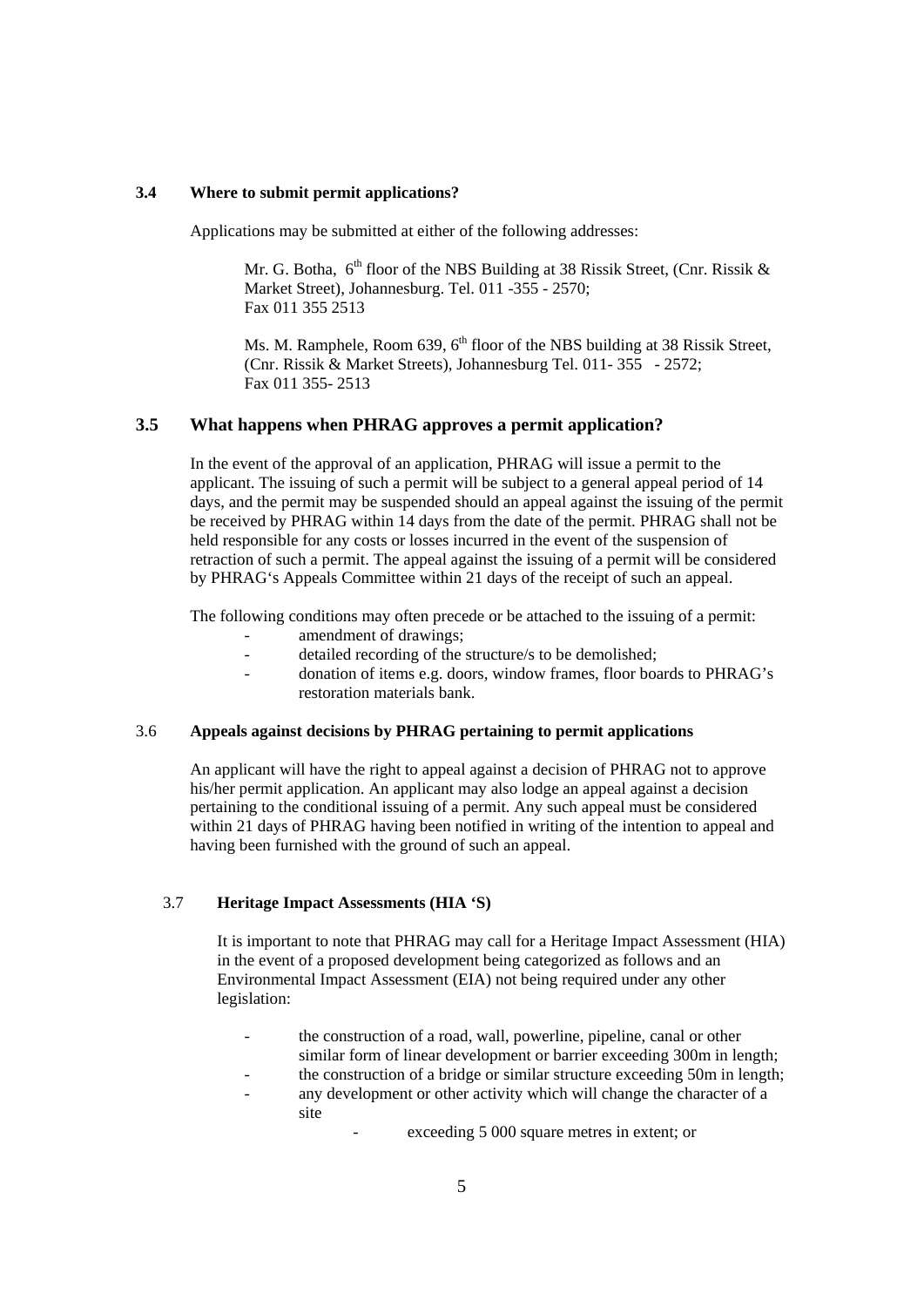#### **3.4 Where to submit permit applications?**

Applications may be submitted at either of the following addresses:

Mr. G. Botha,  $6<sup>th</sup>$  floor of the NBS Building at 38 Rissik Street, (Cnr. Rissik & Market Street), Johannesburg. Tel. 011 -355 - 2570; Fax 011 355 2513

Ms. M. Ramphele, Room 639, 6<sup>th</sup> floor of the NBS building at 38 Rissik Street, (Cnr. Rissik & Market Streets), Johannesburg Tel. 011- 355 - 2572; Fax 011 355- 2513

#### **3.5 What happens when PHRAG approves a permit application?**

In the event of the approval of an application, PHRAG will issue a permit to the applicant. The issuing of such a permit will be subject to a general appeal period of 14 days, and the permit may be suspended should an appeal against the issuing of the permit be received by PHRAG within 14 days from the date of the permit. PHRAG shall not be held responsible for any costs or losses incurred in the event of the suspension of retraction of such a permit. The appeal against the issuing of a permit will be considered by PHRAG's Appeals Committee within 21 days of the receipt of such an appeal.

The following conditions may often precede or be attached to the issuing of a permit:

- amendment of drawings;
- detailed recording of the structure/s to be demolished;
- donation of items e.g. doors, window frames, floor boards to PHRAG's restoration materials bank.

#### 3.6 **Appeals against decisions by PHRAG pertaining to permit applications**

An applicant will have the right to appeal against a decision of PHRAG not to approve his/her permit application. An applicant may also lodge an appeal against a decision pertaining to the conditional issuing of a permit. Any such appeal must be considered within 21 days of PHRAG having been notified in writing of the intention to appeal and having been furnished with the ground of such an appeal.

#### 3.7 **Heritage Impact Assessments (HIA 'S)**

It is important to note that PHRAG may call for a Heritage Impact Assessment (HIA) in the event of a proposed development being categorized as follows and an Environmental Impact Assessment (EIA) not being required under any other legislation:

- the construction of a road, wall, powerline, pipeline, canal or other similar form of linear development or barrier exceeding 300m in length;
	- the construction of a bridge or similar structure exceeding 50m in length;
- any development or other activity which will change the character of a site

exceeding 5 000 square metres in extent; or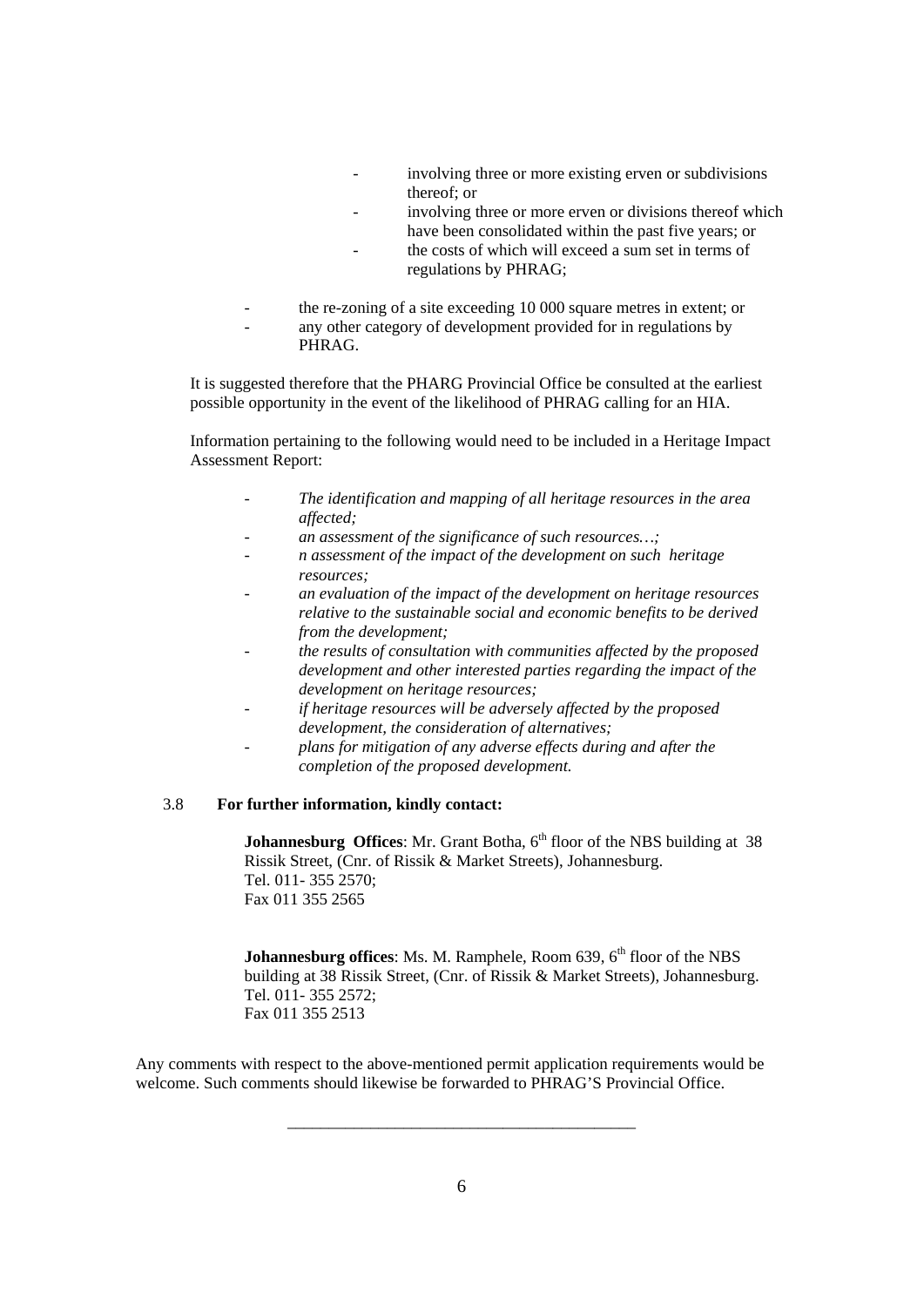- involving three or more existing erven or subdivisions thereof; or
- involving three or more erven or divisions thereof which have been consolidated within the past five years; or
- the costs of which will exceed a sum set in terms of regulations by PHRAG;
- the re-zoning of a site exceeding 10 000 square metres in extent; or any other category of development provided for in regulations by PHRAG.

It is suggested therefore that the PHARG Provincial Office be consulted at the earliest possible opportunity in the event of the likelihood of PHRAG calling for an HIA.

Information pertaining to the following would need to be included in a Heritage Impact Assessment Report:

- *The identification and mapping of all heritage resources in the area affected;*
- *an assessment of the significance of such resources…;*
- *n assessment of the impact of the development on such heritage resources;*
- *an evaluation of the impact of the development on heritage resources relative to the sustainable social and economic benefits to be derived from the development;*
- *the results of consultation with communities affected by the proposed development and other interested parties regarding the impact of the development on heritage resources;*
- *if heritage resources will be adversely affected by the proposed development, the consideration of alternatives;*
- *plans for mitigation of any adverse effects during and after the completion of the proposed development.*

#### 3.8 **For further information, kindly contact:**

**Johannesburg Offices:** Mr. Grant Botha, 6<sup>th</sup> floor of the NBS building at 38 Rissik Street, (Cnr. of Rissik & Market Streets), Johannesburg. Tel. 011- 355 2570; Fax 011 355 2565

**Johannesburg offices:** Ms. M. Ramphele, Room 639, 6<sup>th</sup> floor of the NBS building at 38 Rissik Street, (Cnr. of Rissik & Market Streets), Johannesburg. Tel. 011- 355 2572; Fax 011 355 2513

Any comments with respect to the above-mentioned permit application requirements would be welcome. Such comments should likewise be forwarded to PHRAG'S Provincial Office.

\_\_\_\_\_\_\_\_\_\_\_\_\_\_\_\_\_\_\_\_\_\_\_\_\_\_\_\_\_\_\_\_\_\_\_\_\_\_\_\_\_\_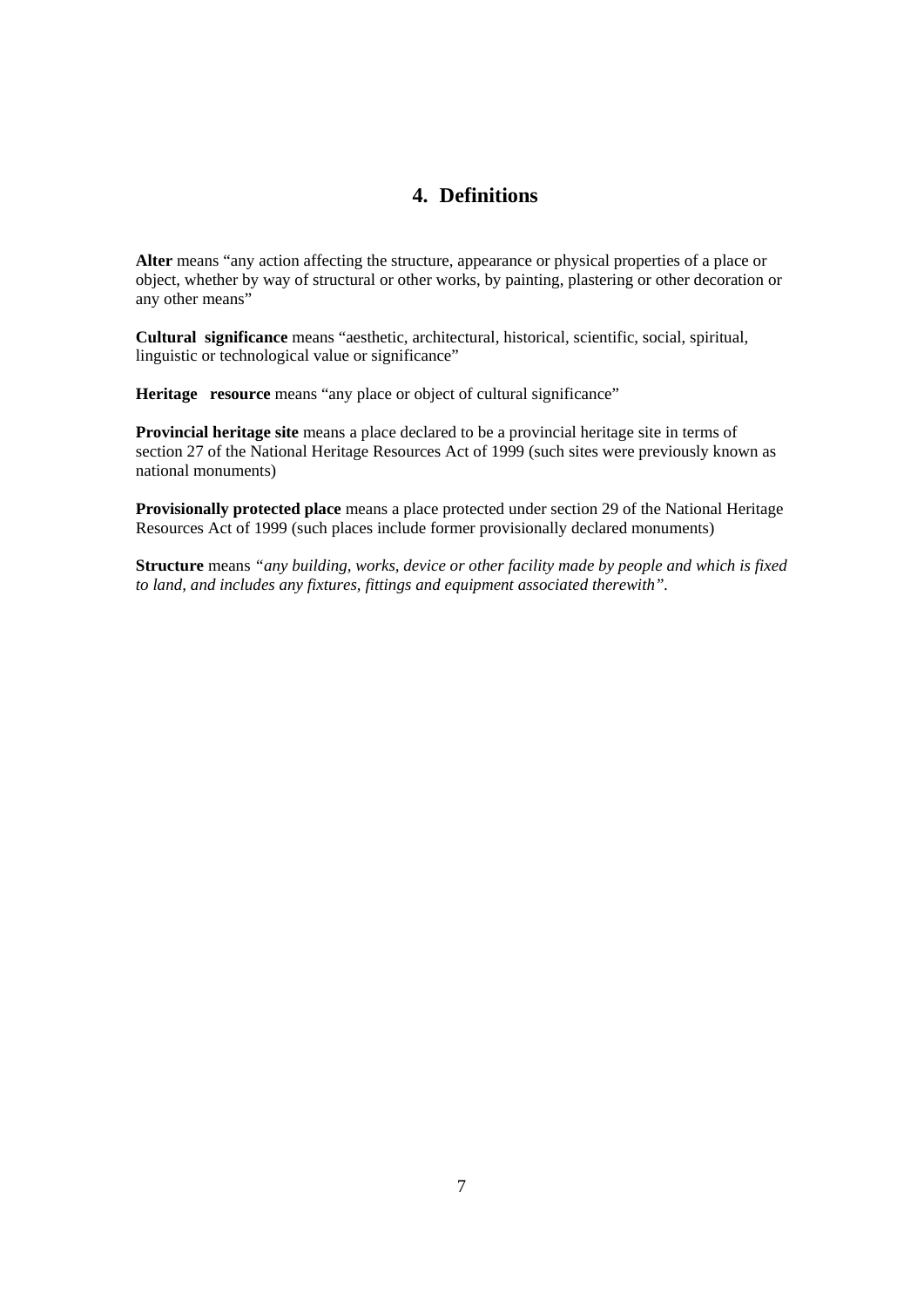## **4. Definitions**

**Alter** means "any action affecting the structure, appearance or physical properties of a place or object, whether by way of structural or other works, by painting, plastering or other decoration or any other means"

**Cultural significance** means "aesthetic, architectural, historical, scientific, social, spiritual, linguistic or technological value or significance"

**Heritage resource** means "any place or object of cultural significance"

**Provincial heritage site** means a place declared to be a provincial heritage site in terms of section 27 of the National Heritage Resources Act of 1999 (such sites were previously known as national monuments)

**Provisionally protected place** means a place protected under section 29 of the National Heritage Resources Act of 1999 (such places include former provisionally declared monuments)

**Structure** means *"any building, works, device or other facility made by people and which is fixed to land, and includes any fixtures, fittings and equipment associated therewith".*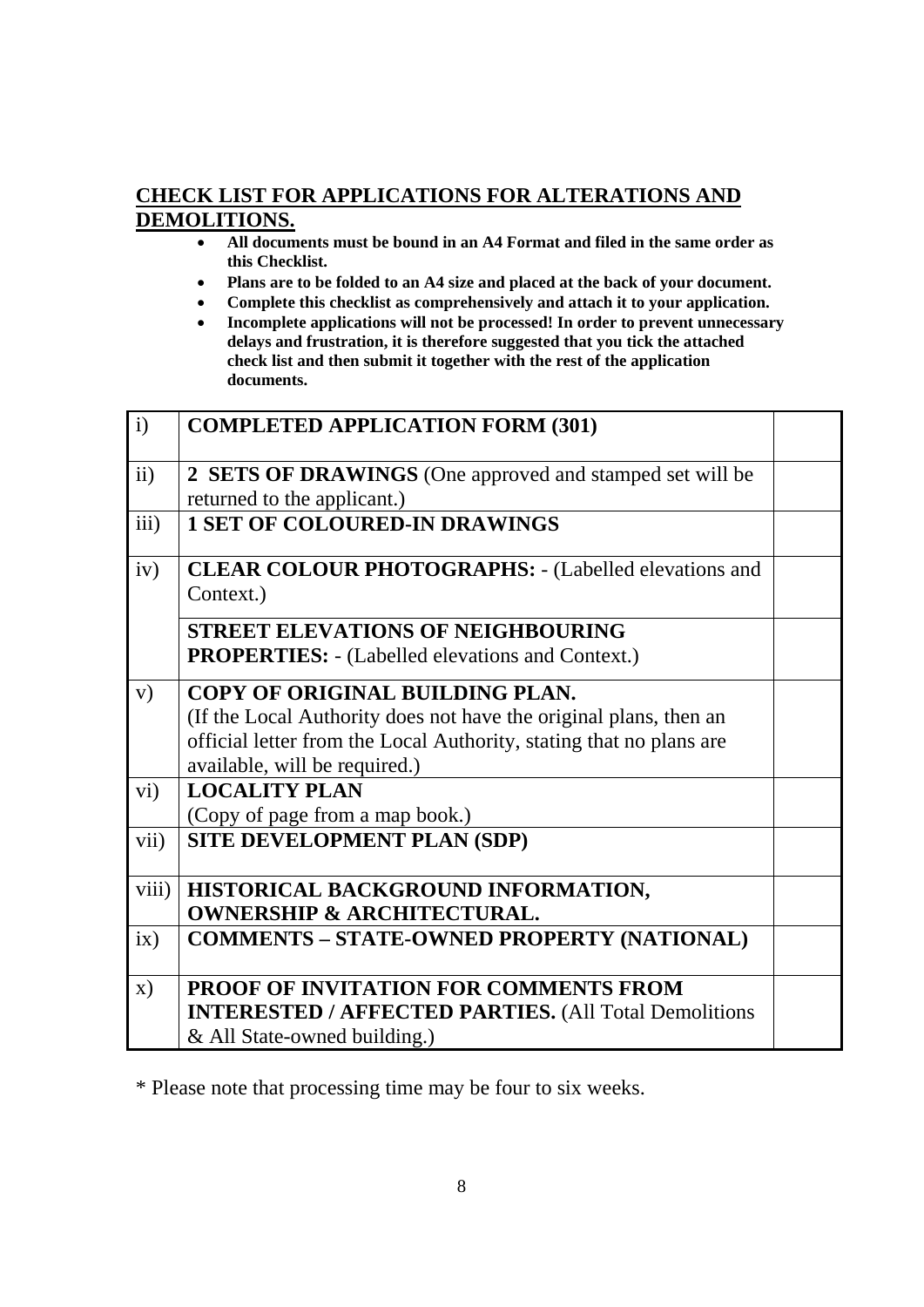# **CHECK LIST FOR APPLICATIONS FOR ALTERATIONS AND DEMOLITIONS.**

- **All documents must be bound in an A4 Format and filed in the same order as this Checklist.**
- **Plans are to be folded to an A4 size and placed at the back of your document.**
- **Complete this checklist as comprehensively and attach it to your application.**
- **Incomplete applications will not be processed! In order to prevent unnecessary delays and frustration, it is therefore suggested that you tick the attached check list and then submit it together with the rest of the application documents.**

| $\mathbf{i}$   | <b>COMPLETED APPLICATION FORM (301)</b>                                                                                                                                                                      |  |
|----------------|--------------------------------------------------------------------------------------------------------------------------------------------------------------------------------------------------------------|--|
| ii)            | 2 SETS OF DRAWINGS (One approved and stamped set will be<br>returned to the applicant.)                                                                                                                      |  |
| iii)           | <b>1 SET OF COLOURED-IN DRAWINGS</b>                                                                                                                                                                         |  |
| iv)            | <b>CLEAR COLOUR PHOTOGRAPHS: - (Labelled elevations and</b><br>Context.)                                                                                                                                     |  |
|                | <b>STREET ELEVATIONS OF NEIGHBOURING</b><br><b>PROPERTIES:</b> - (Labelled elevations and Context.)                                                                                                          |  |
| V)             | COPY OF ORIGINAL BUILDING PLAN.<br>(If the Local Authority does not have the original plans, then an<br>official letter from the Local Authority, stating that no plans are<br>available, will be required.) |  |
| $\rm vi)$      | <b>LOCALITY PLAN</b><br>(Copy of page from a map book.)                                                                                                                                                      |  |
| vii)           | <b>SITE DEVELOPMENT PLAN (SDP)</b>                                                                                                                                                                           |  |
| viii)          | HISTORICAL BACKGROUND INFORMATION,<br><b>OWNERSHIP &amp; ARCHITECTURAL.</b>                                                                                                                                  |  |
| ix)            | <b>COMMENTS - STATE-OWNED PROPERTY (NATIONAL)</b>                                                                                                                                                            |  |
| $\mathbf{X}$ ) | <b>PROOF OF INVITATION FOR COMMENTS FROM</b><br><b>INTERESTED / AFFECTED PARTIES. (All Total Demolitions)</b><br>& All State-owned building.)                                                                |  |

\* Please note that processing time may be four to six weeks.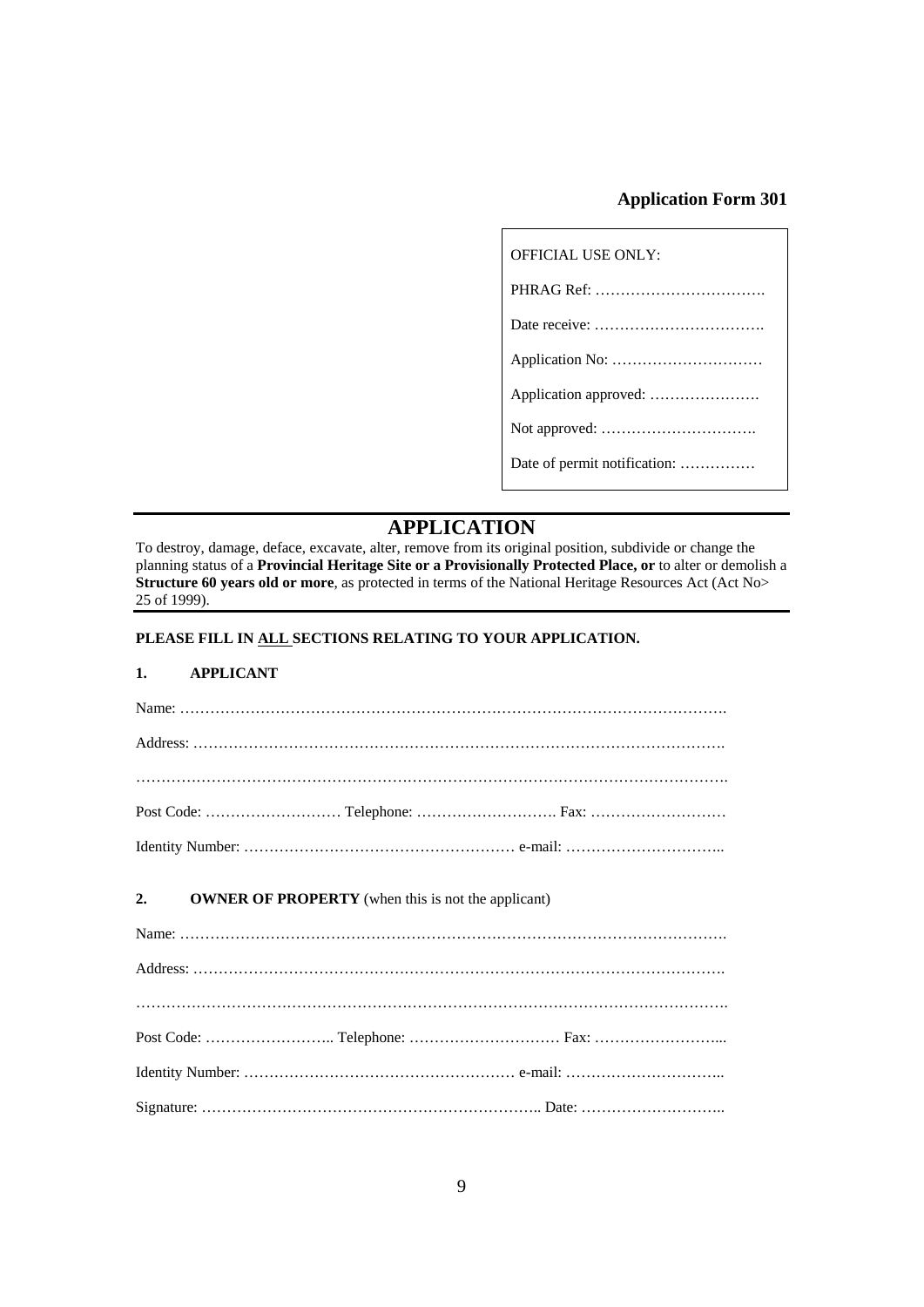## **Application Form 301**

| <b>OFFICIAL USE ONLY:</b>    |
|------------------------------|
|                              |
|                              |
|                              |
|                              |
|                              |
| Date of permit notification: |

# **APPLICATION**

To destroy, damage, deface, excavate, alter, remove from its original position, subdivide or change the planning status of a **Provincial Heritage Site or a Provisionally Protected Place, or** to alter or demolish a **Structure 60 years old or more**, as protected in terms of the National Heritage Resources Act (Act No> 25 of 1999).

### **PLEASE FILL IN ALL SECTIONS RELATING TO YOUR APPLICATION.**

### **1. APPLICANT**

| 2. | <b>OWNER OF PROPERTY</b> (when this is not the applicant) |  |
|----|-----------------------------------------------------------|--|
|    |                                                           |  |
|    |                                                           |  |
|    |                                                           |  |
|    |                                                           |  |
|    |                                                           |  |
|    |                                                           |  |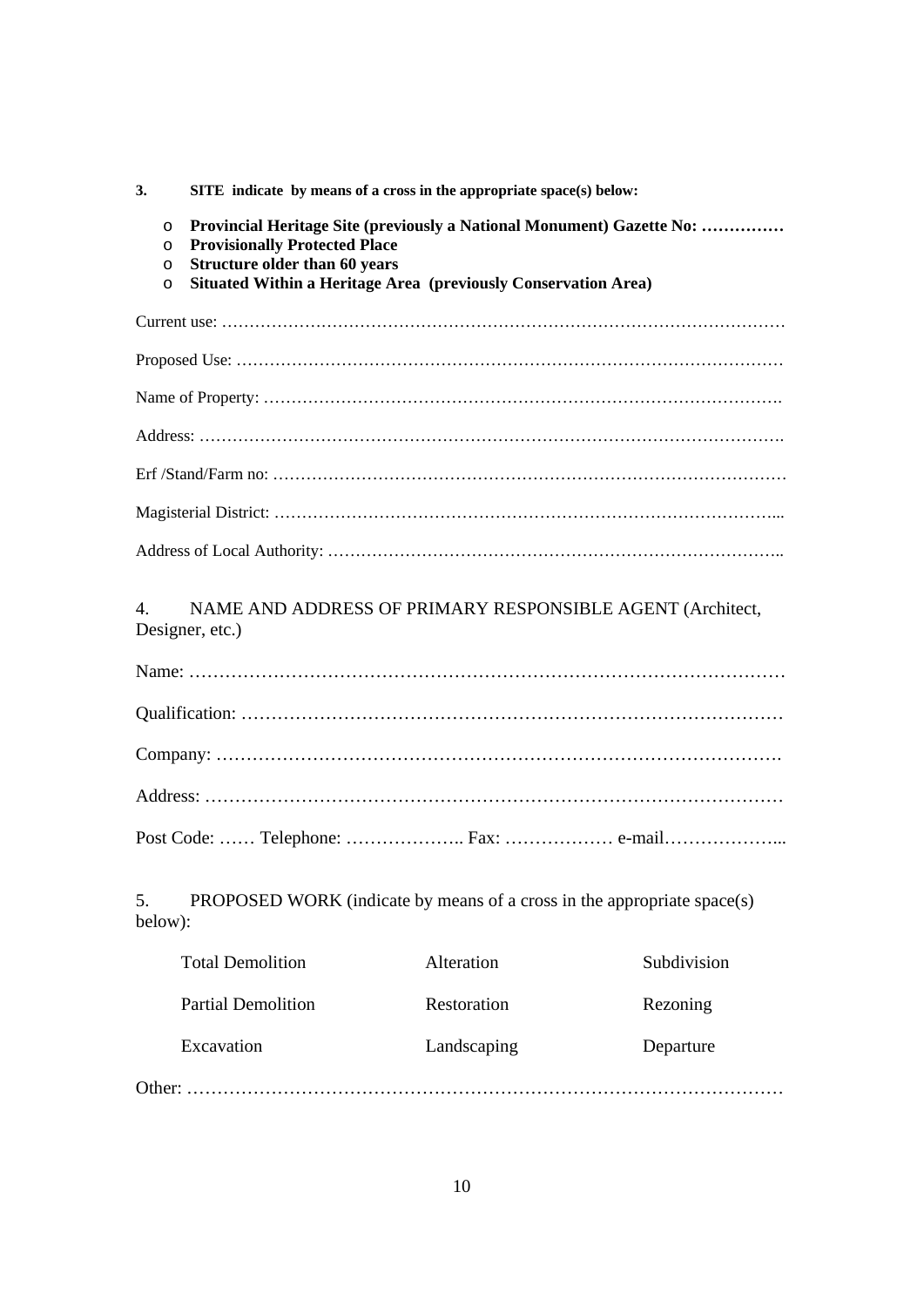**3. SITE indicate by means of a cross in the appropriate space(s) below:** 

- o **Provincial Heritage Site (previously a National Monument) Gazette No: ……………**
- o **Provisionally Protected Place**
- o **Structure older than 60 years**
- o **Situated Within a Heritage Area (previously Conservation Area)**

## 4. NAME AND ADDRESS OF PRIMARY RESPONSIBLE AGENT (Architect, Designer, etc.)

| Post Code:  Telephone:  Fax:  e-mail |
|--------------------------------------|

5. PROPOSED WORK (indicate by means of a cross in the appropriate space(s) below):

| <b>Total Demolition</b>   | Alteration  | Subdivision |
|---------------------------|-------------|-------------|
| <b>Partial Demolition</b> | Restoration | Rezoning    |
| Excavation                | Landscaping | Departure   |
|                           |             |             |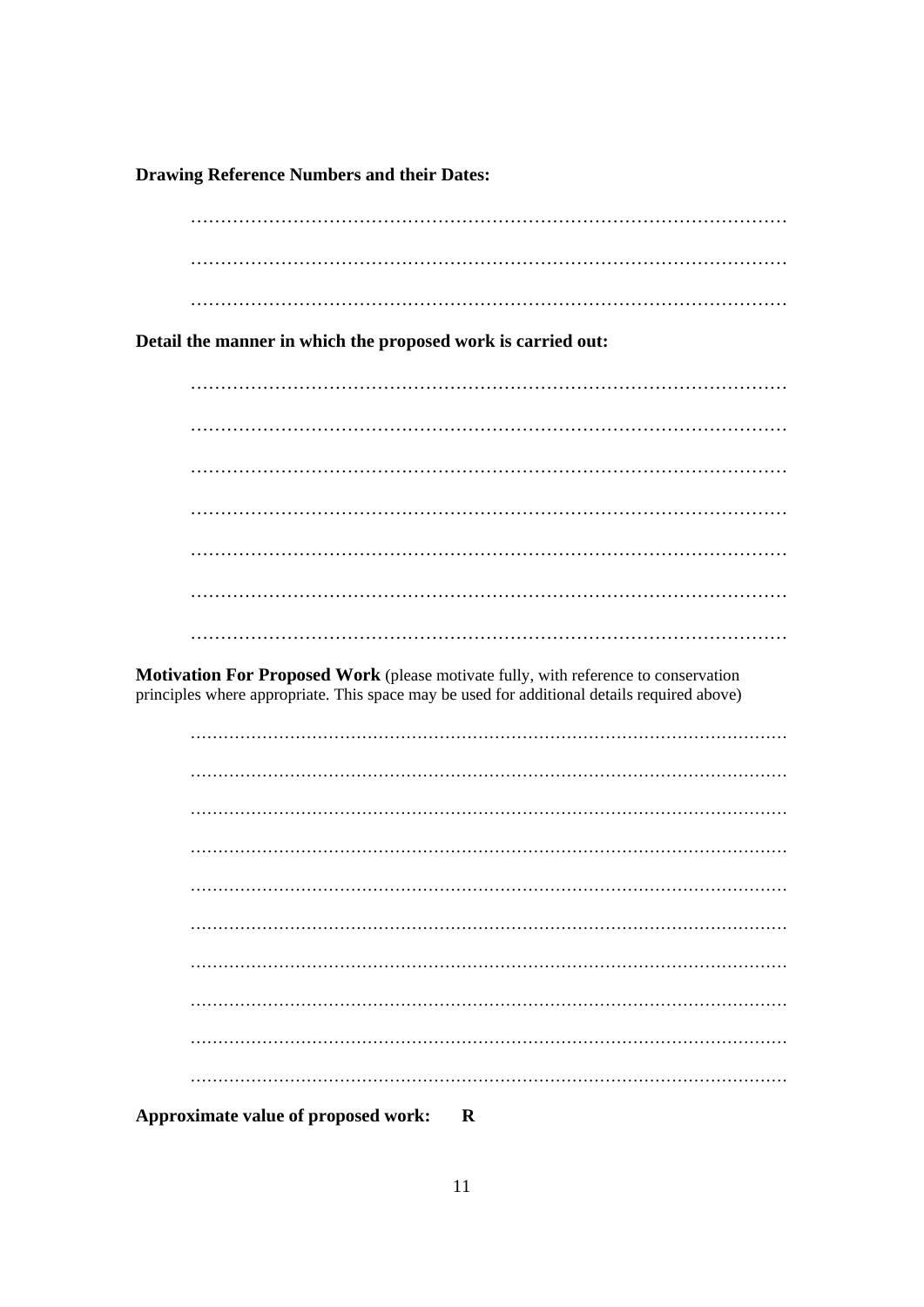**Drawing Reference Numbers and their Dates:** 

Detail the manner in which the proposed work is carried out:

Motivation For Proposed Work (please motivate fully, with reference to conservation principles where appropriate. This space may be used for additional details required above)

| Approximate value of proposed work: R |  |
|---------------------------------------|--|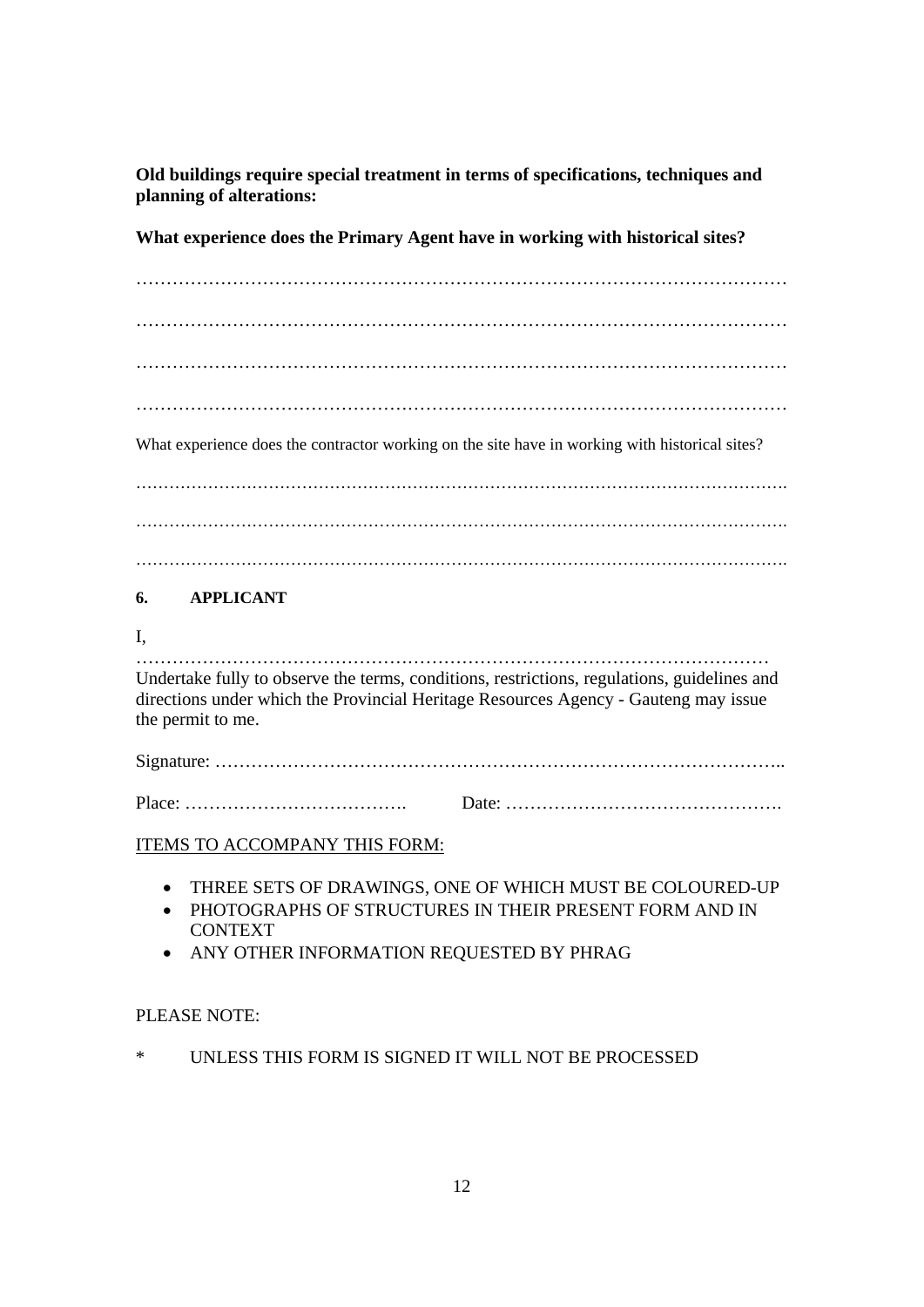**Old buildings require special treatment in terms of specifications, techniques and planning of alterations:** 

**What experience does the Primary Agent have in working with historical sites?** 

……………………………………………………………………………………………… ……………………………………………………………………………………………… ………………………………………………………………………………………………  $\mathcal{L}$  . The contract of the contract of the contract of the contract of the contract of the contract of the contract of the contract of the contract of the contract of the contract of the contract of the contract of th

What experience does the contractor working on the site have in working with historical sites?

………………………………………………………………………………………………………. ………………………………………………………………………………………………………. ……………………………………………………………………………………………………….

## **6. APPLICANT**

## I,

…………………………………………………………………………………………… Undertake fully to observe the terms, conditions, restrictions, regulations, guidelines and directions under which the Provincial Heritage Resources Agency - Gauteng may issue the permit to me.

Signature: …………………………………………………………………………………..

| $Place: \ldots \ldots \ldots \ldots \ldots \ldots \ldots \ldots \ldots \ldots$ |  |
|--------------------------------------------------------------------------------|--|
|                                                                                |  |

## ITEMS TO ACCOMPANY THIS FORM:

- THREE SETS OF DRAWINGS, ONE OF WHICH MUST BE COLOURED-UP
- PHOTOGRAPHS OF STRUCTURES IN THEIR PRESENT FORM AND IN CONTEXT
- ANY OTHER INFORMATION REQUESTED BY PHRAG

## PLEASE NOTE:

\* UNLESS THIS FORM IS SIGNED IT WILL NOT BE PROCESSED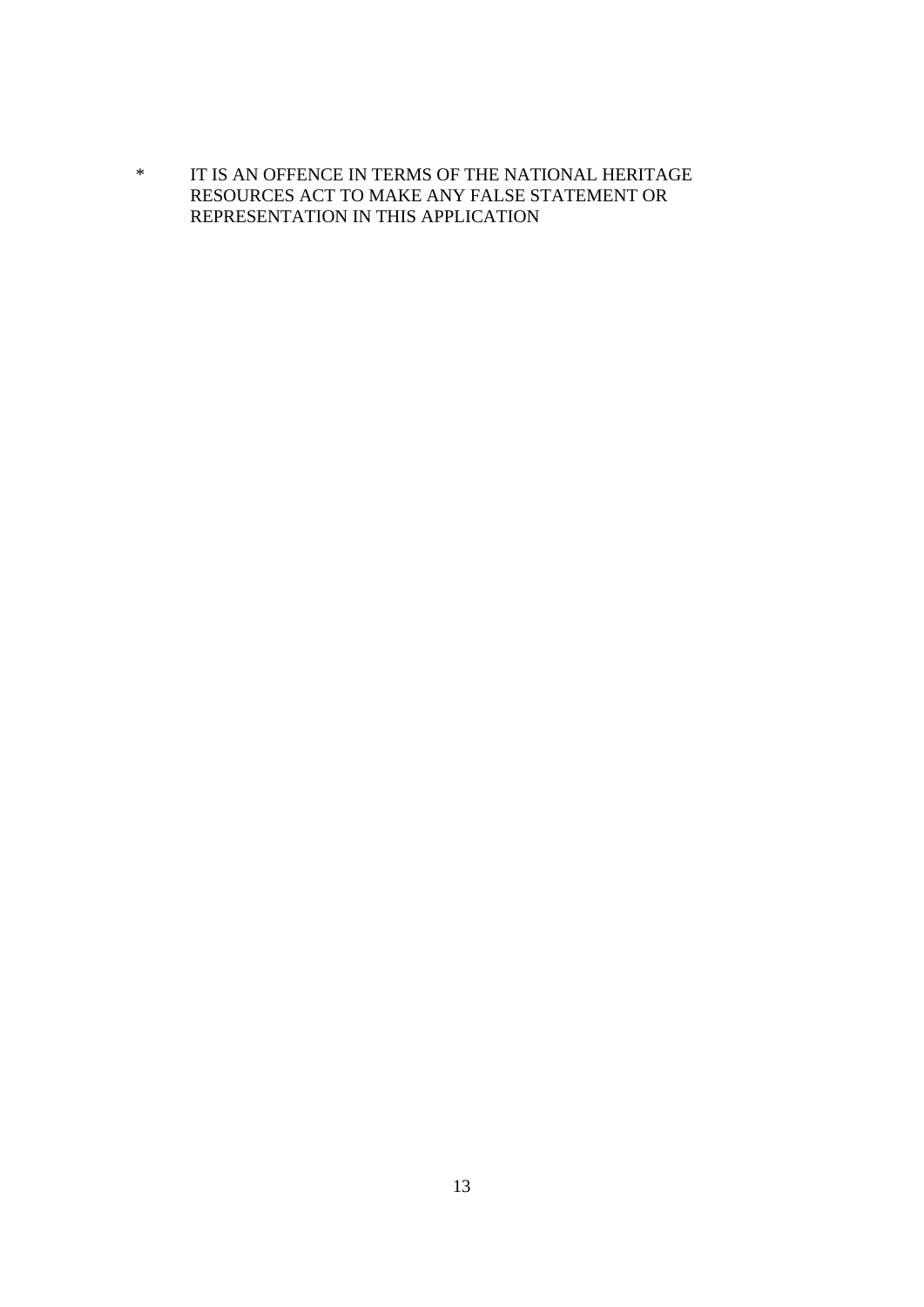\* IT IS AN OFFENCE IN TERMS OF THE NATIONAL HERITAGE RESOURCES ACT TO MAKE ANY FALSE STATEMENT OR REPRESENTATION IN THIS APPLICATION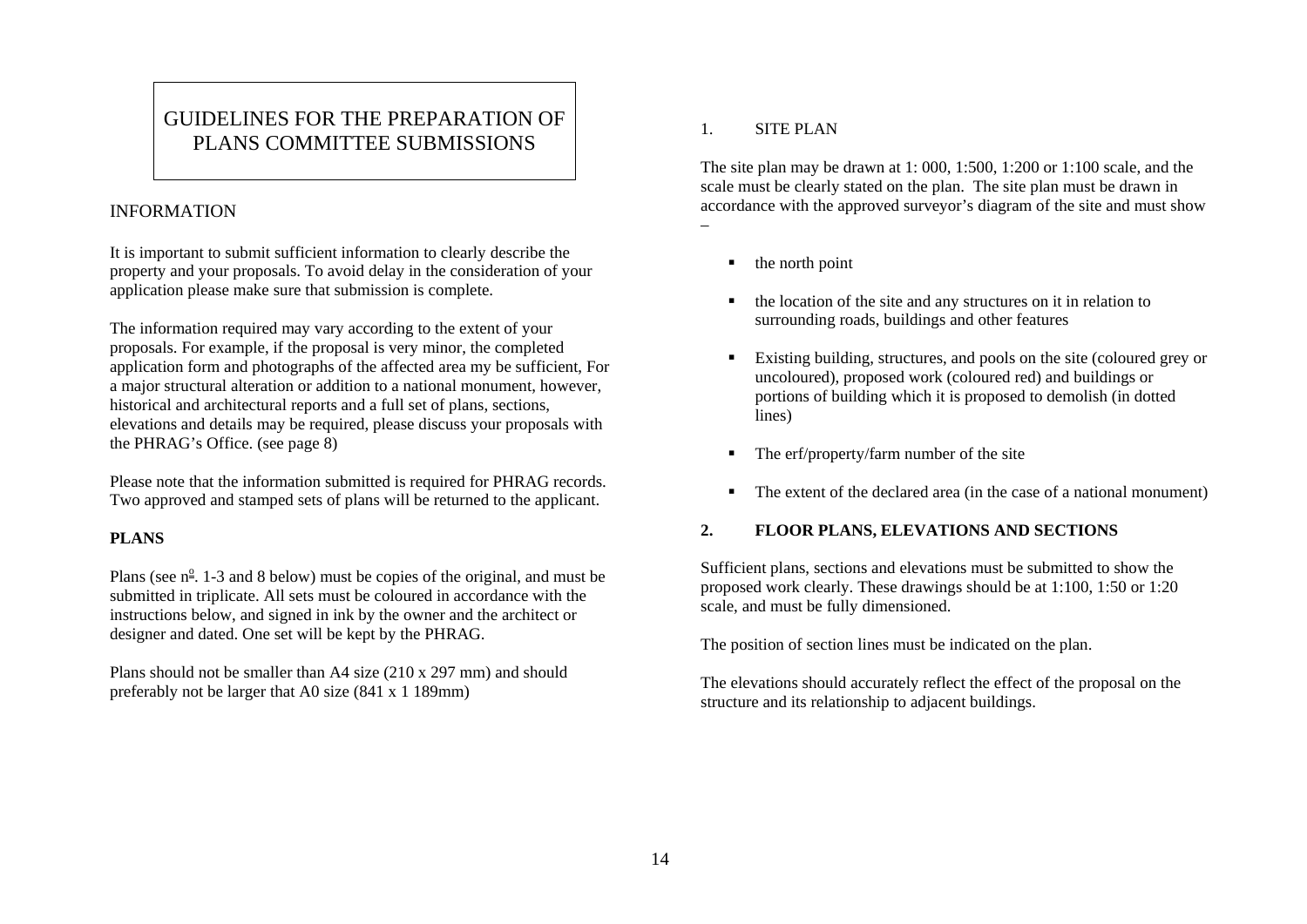# GUIDELINES FOR THE PREPARATION OF PLANS COMMITTEE SUBMISSIONS

## INFORMATION

It is important to submit sufficient information to clearly describe the property and your proposals. To avoid delay in the consideration of your application please make sure that submission is complete.

The information required may vary according to the extent of your proposals. For example, if the proposal is very minor, the completed application form and photographs of the affected area my be sufficient, For a major structural alteration or addition to a national monument, however, historical and architectural reports and a full set of plans, sections, elevations and details may be required, please discuss your proposals with the PHRAG's Office. (see page 8)

Please note that the information submitted is required for PHRAG records. Two approved and stamped sets of plans will be returned to the applicant.

## **PLANS**

Plans (see  $n^2$ . 1-3 and 8 below) must be copies of the original, and must be submitted in triplicate. All sets must be coloured in accordance with the instructions below, and signed in ink by the owner and the architect or designer and dated. One set will be kept by the PHRAG.

Plans should not be smaller than A4 size (210 x 297 mm) and should preferably not be larger that A0 size (841 x 1 189mm)

#### 1.SITE PLAN

–

The site plan may be drawn at 1: 000, 1:500, 1:200 or 1:100 scale, and the scale must be clearly stated on the plan. The site plan must be drawn in accordance with the approved surveyor's diagram of the site and must show

- $\blacksquare$  the north point
- $\blacksquare$  the location of the site and any structures on it in relation to surrounding roads, buildings and other features
- Existing building, structures, and pools on the site (coloured grey or uncoloured), proposed work (coloured red) and buildings or portions of building which it is proposed to demolish (in dotted lines)
- $\blacksquare$ The erf/property/farm number of the site
- The extent of the declared area (in the case of a national monument)

## **2. FLOOR PLANS, ELEVATIONS AND SECTIONS**

Sufficient plans, sections and elevations must be submitted to show the proposed work clearly. These drawings should be at 1:100, 1:50 or 1:20 scale, and must be fully dimensioned.

The position of section lines must be indicated on the plan.

The elevations should accurately reflect the effect of the proposal on the structure and its relationship to adjacent buildings.